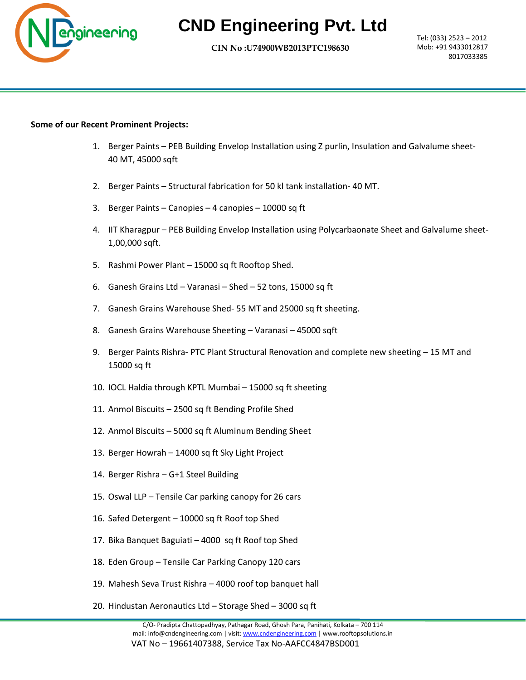

## **CND Engineering Pvt. Ltd**

 **CIN No :U74900WB2013PTC198630 Let us** 

Tel: (033) 2523 – 2012 Mob: +91 9433012817 8017033385

## **Some of our Recent Prominent Projects:**

- 1. Berger Paints PEB Building Envelop Installation using Z purlin, Insulation and Galvalume sheet-40 MT, 45000 sqft
- 2. Berger Paints Structural fabrication for 50 kl tank installation- 40 MT.
- 3. Berger Paints Canopies 4 canopies 10000 sq ft
- 4. IIT Kharagpur PEB Building Envelop Installation using Polycarbaonate Sheet and Galvalume sheet-1,00,000 sqft.
- 5. Rashmi Power Plant 15000 sq ft Rooftop Shed.
- 6. Ganesh Grains Ltd Varanasi Shed 52 tons, 15000 sq ft
- 7. Ganesh Grains Warehouse Shed- 55 MT and 25000 sq ft sheeting.
- 8. Ganesh Grains Warehouse Sheeting Varanasi 45000 sqft
- 9. Berger Paints Rishra- PTC Plant Structural Renovation and complete new sheeting 15 MT and 15000 sq ft
- 10. IOCL Haldia through KPTL Mumbai 15000 sq ft sheeting
- 11. Anmol Biscuits 2500 sq ft Bending Profile Shed
- 12. Anmol Biscuits 5000 sq ft Aluminum Bending Sheet
- 13. Berger Howrah 14000 sq ft Sky Light Project
- 14. Berger Rishra G+1 Steel Building
- 15. Oswal LLP Tensile Car parking canopy for 26 cars
- 16. Safed Detergent 10000 sq ft Roof top Shed
- 17. Bika Banquet Baguiati 4000 sq ft Roof top Shed
- 18. Eden Group Tensile Car Parking Canopy 120 cars
- 19. Mahesh Seva Trust Rishra 4000 roof top banquet hall
- 20. Hindustan Aeronautics Ltd Storage Shed 3000 sq ft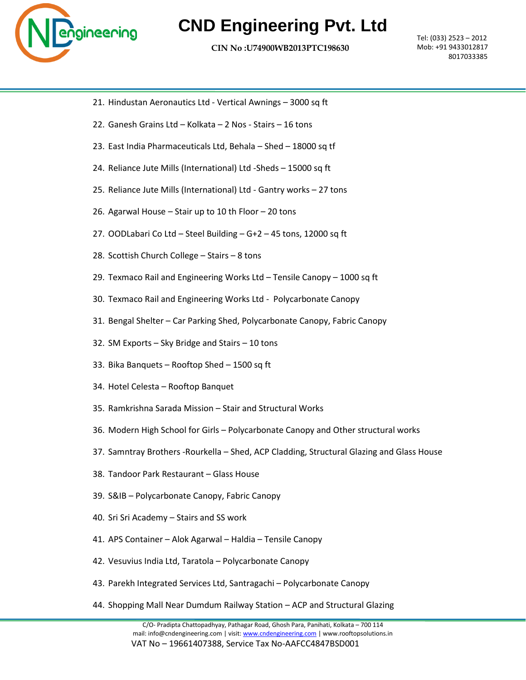

## **CND Engineering Pvt. Ltd**

 **CIN No :U74900WB2013PTC198630 Let us** 

Tel: (033) 2523 – 2012 Mob: +91 9433012817 8017033385

- 21. Hindustan Aeronautics Ltd Vertical Awnings 3000 sq ft
- 22. Ganesh Grains Ltd Kolkata 2 Nos Stairs 16 tons
- 23. East India Pharmaceuticals Ltd, Behala Shed 18000 sq tf
- 24. Reliance Jute Mills (International) Ltd -Sheds 15000 sq ft
- 25. Reliance Jute Mills (International) Ltd Gantry works 27 tons
- 26. Agarwal House Stair up to 10 th Floor 20 tons
- 27. OODLabari Co Ltd Steel Building G+2 45 tons, 12000 sq ft
- 28. Scottish Church College Stairs 8 tons
- 29. Texmaco Rail and Engineering Works Ltd Tensile Canopy 1000 sq ft
- 30. Texmaco Rail and Engineering Works Ltd Polycarbonate Canopy
- 31. Bengal Shelter Car Parking Shed, Polycarbonate Canopy, Fabric Canopy
- 32. SM Exports Sky Bridge and Stairs 10 tons
- 33. Bika Banquets Rooftop Shed 1500 sq ft
- 34. Hotel Celesta Rooftop Banquet
- 35. Ramkrishna Sarada Mission Stair and Structural Works
- 36. Modern High School for Girls Polycarbonate Canopy and Other structural works
- 37. Samntray Brothers -Rourkella Shed, ACP Cladding, Structural Glazing and Glass House
- 38. Tandoor Park Restaurant Glass House
- 39. S&IB Polycarbonate Canopy, Fabric Canopy
- 40. Sri Sri Academy Stairs and SS work
- 41. APS Container Alok Agarwal Haldia Tensile Canopy
- 42. Vesuvius India Ltd, Taratola Polycarbonate Canopy
- 43. Parekh Integrated Services Ltd, Santragachi Polycarbonate Canopy
- 44. Shopping Mall Near Dumdum Railway Station ACP and Structural Glazing